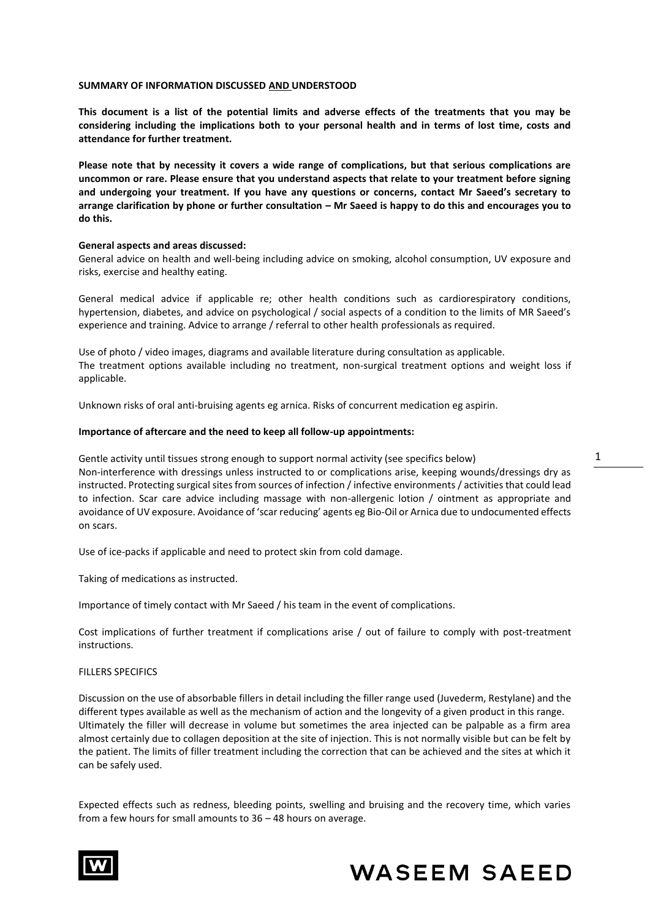### **SUMMARY OF INFORMATION DISCUSSED AND UNDERSTOOD**

**This document is a list of the potential limits and adverse effects of the treatments that you may be considering including the implications both to your personal health and in terms of lost time, costs and attendance for further treatment.** 

**Please note that by necessity it covers a wide range of complications, but that serious complications are uncommon or rare. Please ensure that you understand aspects that relate to your treatment before signing and undergoing your treatment. If you have any questions or concerns, contact Mr Saeed's secretary to arrange clarification by phone or further consultation – Mr Saeed is happy to do this and encourages you to do this.**

## **General aspects and areas discussed:**

General advice on health and well-being including advice on smoking, alcohol consumption, UV exposure and risks, exercise and healthy eating.

General medical advice if applicable re; other health conditions such as cardiorespiratory conditions, hypertension, diabetes, and advice on psychological / social aspects of a condition to the limits of MR Saeed's experience and training. Advice to arrange / referral to other health professionals as required.

Use of photo / video images, diagrams and available literature during consultation as applicable. The treatment options available including no treatment, non-surgical treatment options and weight loss if applicable.

Unknown risks of oral anti-bruising agents eg arnica. Risks of concurrent medication eg aspirin.

#### **Importance of aftercare and the need to keep all follow-up appointments:**

Gentle activity until tissues strong enough to support normal activity (see specifics below) Non-interference with dressings unless instructed to or complications arise, keeping wounds/dressings dry as instructed. Protecting surgical sites from sources of infection / infective environments / activities that could lead to infection. Scar care advice including massage with non-allergenic lotion / ointment as appropriate and avoidance of UV exposure. Avoidance of 'scar reducing' agents eg Bio-Oil or Arnica due to undocumented effects on scars.

Use of ice-packs if applicable and need to protect skin from cold damage.

Taking of medications as instructed.

Importance of timely contact with Mr Saeed / his team in the event of complications.

Cost implications of further treatment if complications arise / out of failure to comply with post-treatment instructions.

#### FILLERS SPECIFICS

Discussion on the use of absorbable fillers in detail including the filler range used (Juvederm, Restylane) and the different types available as well as the mechanism of action and the longevity of a given product in this range. Ultimately the filler will decrease in volume but sometimes the area injected can be palpable as a firm area almost certainly due to collagen deposition at the site of injection. This is not normally visible but can be felt by the patient. The limits of filler treatment including the correction that can be achieved and the sites at which it can be safely used.

Expected effects such as redness, bleeding points, swelling and bruising and the recovery time, which varies from a few hours for small amounts to 36 – 48 hours on average.



# **WASEEM SAEED**

1